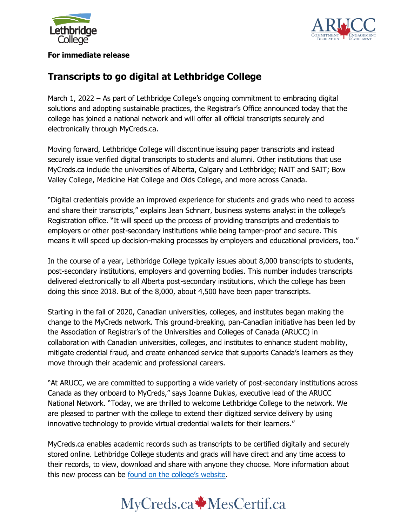



#### **For immediate release**

# **Transcripts to go digital at Lethbridge College**

March 1, 2022 – As part of Lethbridge College's ongoing commitment to embracing digital solutions and adopting sustainable practices, the Registrar's Office announced today that the college has joined a national network and will offer all official transcripts securely and electronically through MyCreds.ca.

Moving forward, Lethbridge College will discontinue issuing paper transcripts and instead securely issue verified digital transcripts to students and alumni. Other institutions that use MyCreds.ca include the universities of Alberta, Calgary and Lethbridge; NAIT and SAIT; Bow Valley College, Medicine Hat College and Olds College, and more across Canada.

"Digital credentials provide an improved experience for students and grads who need to access and share their transcripts," explains Jean Schnarr, business systems analyst in the college's Registration office. "It will speed up the process of providing transcripts and credentials to employers or other post-secondary institutions while being tamper-proof and secure. This means it will speed up decision-making processes by employers and educational providers, too."

In the course of a year, Lethbridge College typically issues about 8,000 transcripts to students, post-secondary institutions, employers and governing bodies. This number includes transcripts delivered electronically to all Alberta post-secondary institutions, which the college has been doing this since 2018. But of the 8,000, about 4,500 have been paper transcripts.

Starting in the fall of 2020, Canadian universities, colleges, and institutes began making the change to the MyCreds network. This ground-breaking, pan-Canadian initiative has been led by the Association of Registrar's of the Universities and Colleges of Canada (ARUCC) in collaboration with Canadian universities, colleges, and institutes to enhance student mobility, mitigate credential fraud, and create enhanced service that supports Canada's learners as they move through their academic and professional careers.

"At ARUCC, we are committed to supporting a wide variety of post-secondary institutions across Canada as they onboard to MyCreds," says Joanne Duklas, executive lead of the ARUCC National Network. "Today, we are thrilled to welcome Lethbridge College to the network. We are pleased to partner with the college to extend their digitized service delivery by using innovative technology to provide virtual credential wallets for their learners."

MyCreds.ca enables academic records such as transcripts to be certified digitally and securely stored online. Lethbridge College students and grads will have direct and any time access to their records, to view, download and share with anyone they choose. More information about this new process can be [found on the college's website](https://lethbridgecollege.ca/departments/registrars-office/records/mycreds).

# MyCreds.ca MesCertif.ca